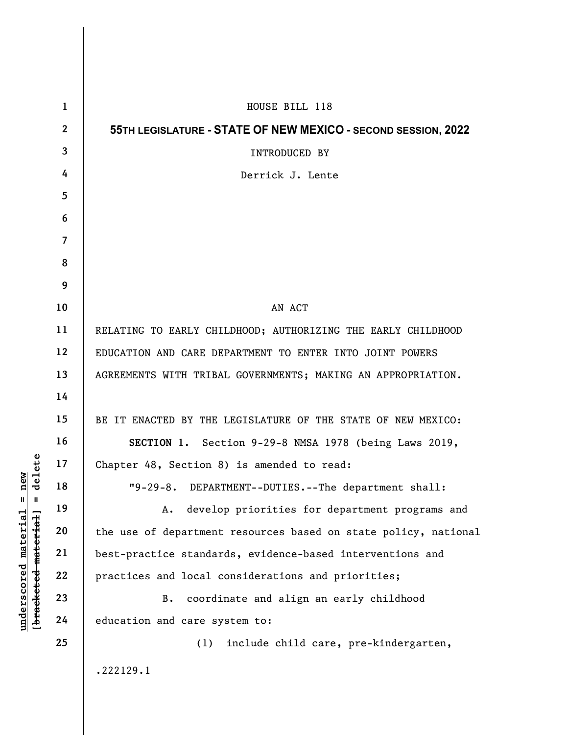|                                              | $\mathbf{1}$   | HOUSE BILL 118                                                  |
|----------------------------------------------|----------------|-----------------------------------------------------------------|
|                                              | $\mathbf{2}$   | 55TH LEGISLATURE - STATE OF NEW MEXICO - SECOND SESSION, 2022   |
|                                              | $\mathbf{3}$   | INTRODUCED BY                                                   |
|                                              | 4              | Derrick J. Lente                                                |
|                                              | 5              |                                                                 |
|                                              | 6              |                                                                 |
|                                              | $\overline{7}$ |                                                                 |
|                                              | 8              |                                                                 |
|                                              | 9              |                                                                 |
|                                              | 10             | AN ACT                                                          |
|                                              | 11             | RELATING TO EARLY CHILDHOOD; AUTHORIZING THE EARLY CHILDHOOD    |
|                                              | 12             | EDUCATION AND CARE DEPARTMENT TO ENTER INTO JOINT POWERS        |
|                                              | 13             | AGREEMENTS WITH TRIBAL GOVERNMENTS; MAKING AN APPROPRIATION.    |
| aaete<br>Elete                               | 14             |                                                                 |
|                                              | 15             | BE IT ENACTED BY THE LEGISLATURE OF THE STATE OF NEW MEXICO:    |
|                                              | 16             | SECTION 1. Section 9-29-8 NMSA 1978 (being Laws 2019,           |
|                                              | 17             | Chapter 48, Section 8) is amended to read:                      |
| e<br>1<br>$\frac{e}{d}$<br>$\mathbf{u}$<br>Ш | 18             | DEPARTMENT--DUTIES.--The department shall:<br>$"9-29-8.$        |
| <u>material</u>                              | 19             | develop priorities for department programs and<br>Α.            |
|                                              | 20             | the use of department resources based on state policy, national |
|                                              | 21             | best-practice standards, evidence-based interventions and       |
|                                              | 22             | practices and local considerations and priorities;              |
| [bracketed-material]<br>underscored          | 23             | coordinate and align an early childhood<br>B.                   |
|                                              | 24             | education and care system to:                                   |
|                                              | 25             | include child care, pre-kindergarten,<br>(1)                    |
|                                              |                | .222129.1                                                       |
|                                              |                |                                                                 |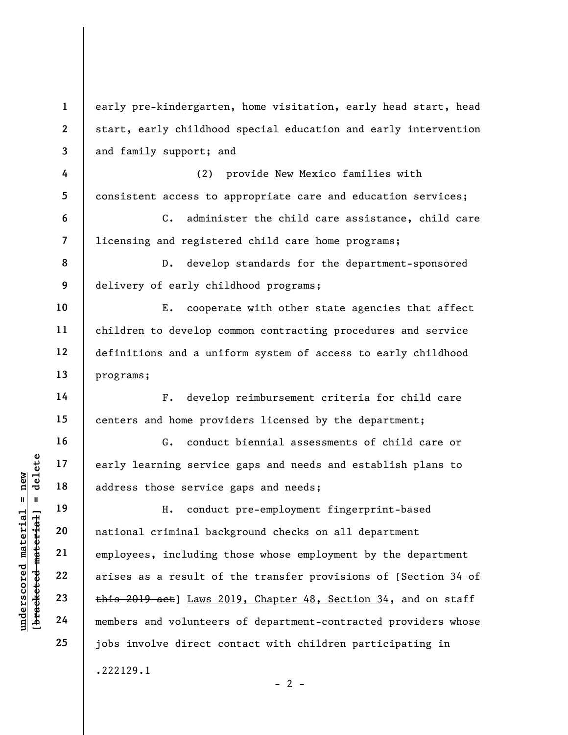underscored material = new [bracketed material] = delete 1 2 3 4 5 6 7 8 9 10 11 12 13 14 15 16 17 18 19 20 21 22 23 24 25 early pre-kindergarten, home visitation, early head start, head start, early childhood special education and early intervention and family support; and (2) provide New Mexico families with consistent access to appropriate care and education services; C. administer the child care assistance, child care licensing and registered child care home programs; D. develop standards for the department-sponsored delivery of early childhood programs; E. cooperate with other state agencies that affect children to develop common contracting procedures and service definitions and a uniform system of access to early childhood programs; F. develop reimbursement criteria for child care centers and home providers licensed by the department; G. conduct biennial assessments of child care or early learning service gaps and needs and establish plans to address those service gaps and needs; H. conduct pre-employment fingerprint-based national criminal background checks on all department employees, including those whose employment by the department arises as a result of the transfer provisions of [Section 34 of this 2019 act] Laws 2019, Chapter 48, Section 34, and on staff members and volunteers of department-contracted providers whose jobs involve direct contact with children participating in .222129.1  $- 2 -$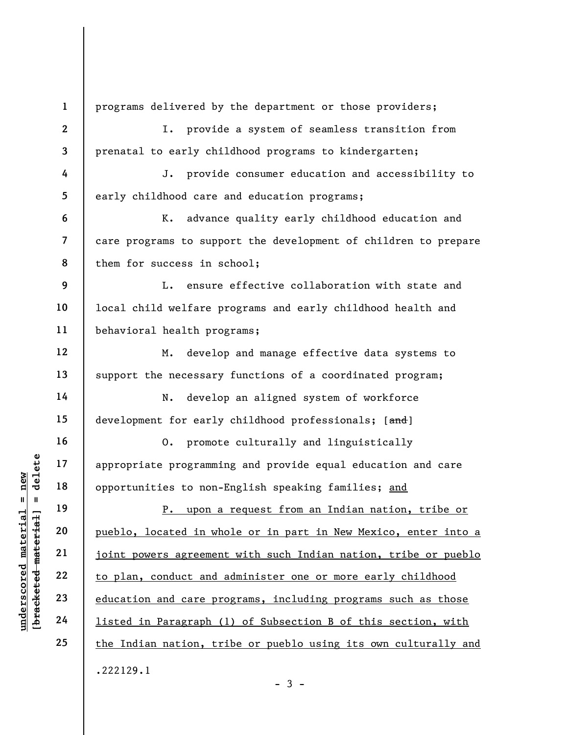understand material specifical material opportunities to non-<br>
except the 19<br>
definition of the specifical material opportunities to non-<br>
P. upon a<br>
pueblo, located in which<br>
21<br>
definition and care property<br>
23<br>
definiti 1 2 3 4 5 6 7 8 9 10 11 12 13 14 15 16 17 18 19 20 21 22 23 24 25 programs delivered by the department or those providers; I. provide a system of seamless transition from prenatal to early childhood programs to kindergarten; J. provide consumer education and accessibility to early childhood care and education programs; K. advance quality early childhood education and care programs to support the development of children to prepare them for success in school; L. ensure effective collaboration with state and local child welfare programs and early childhood health and behavioral health programs; M. develop and manage effective data systems to support the necessary functions of a coordinated program; N. develop an aligned system of workforce development for early childhood professionals; [and] O. promote culturally and linguistically appropriate programming and provide equal education and care opportunities to non-English speaking families; and P. upon a request from an Indian nation, tribe or pueblo, located in whole or in part in New Mexico, enter into a joint powers agreement with such Indian nation, tribe or pueblo to plan, conduct and administer one or more early childhood education and care programs, including programs such as those listed in Paragraph (1) of Subsection B of this section, with the Indian nation, tribe or pueblo using its own culturally and .222129.1  $-3 -$